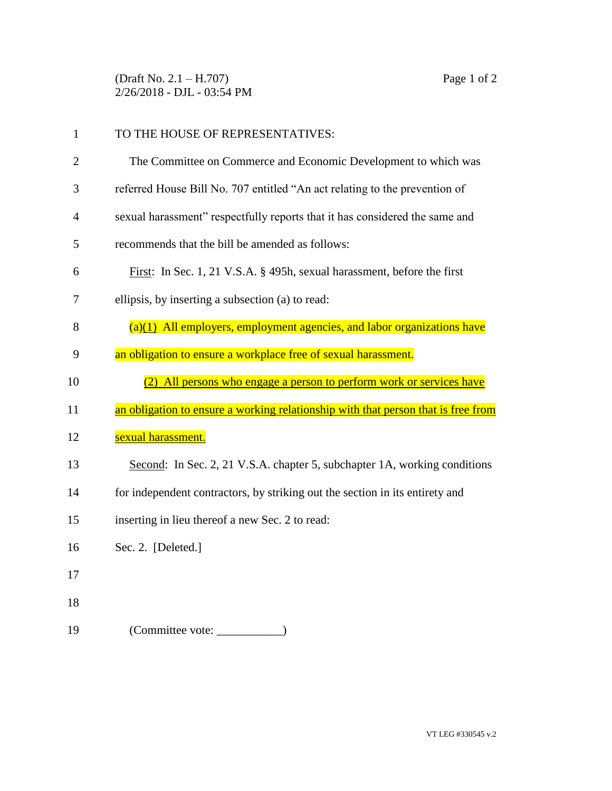(Draft No. 2.1 – H.707) Page 1 of 2 2/26/2018 - DJL - 03:54 PM

| $\mathbf{1}$   | TO THE HOUSE OF REPRESENTATIVES:                                                  |
|----------------|-----------------------------------------------------------------------------------|
| $\overline{2}$ | The Committee on Commerce and Economic Development to which was                   |
| 3              | referred House Bill No. 707 entitled "An act relating to the prevention of        |
| $\overline{4}$ | sexual harassment" respectfully reports that it has considered the same and       |
| 5              | recommends that the bill be amended as follows:                                   |
| 6              | First: In Sec. 1, 21 V.S.A. § 495h, sexual harassment, before the first           |
| 7              | ellipsis, by inserting a subsection (a) to read:                                  |
| 8              | $(a)(1)$ All employers, employment agencies, and labor organizations have         |
| 9              | an obligation to ensure a workplace free of sexual harassment.                    |
| 10             | (2) All persons who engage a person to perform work or services have              |
| 11             | an obligation to ensure a working relationship with that person that is free from |
| 12             | sexual harassment.                                                                |
| 13             | Second: In Sec. 2, 21 V.S.A. chapter 5, subchapter 1A, working conditions         |
| 14             | for independent contractors, by striking out the section in its entirety and      |
| 15             | inserting in lieu thereof a new Sec. 2 to read:                                   |
| 16             | Sec. 2. [Deleted.]                                                                |
| 17             |                                                                                   |
|                |                                                                                   |
| 18             |                                                                                   |